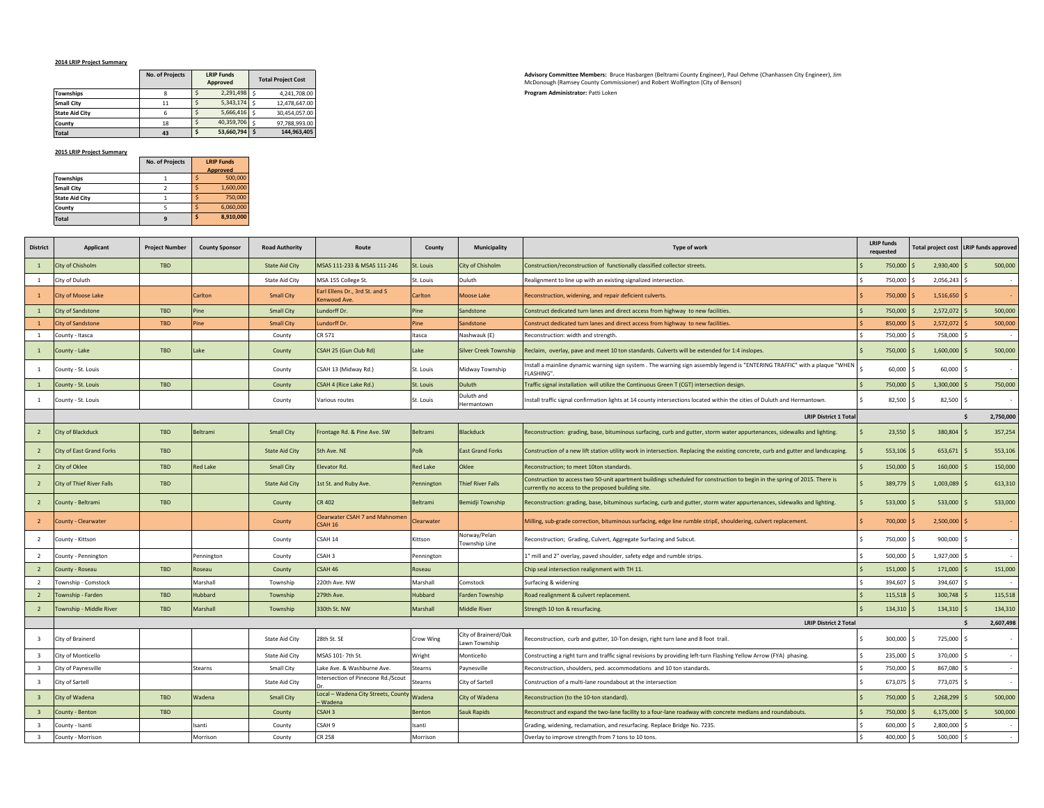## **2014 LRIP Project Summary**

|                       | <b>No. of Projects</b> | <b>LRIP Funds</b><br>Approved |   | <b>Total Project Cost</b> |
|-----------------------|------------------------|-------------------------------|---|---------------------------|
| <b>Townships</b>      |                        | 2,291,498                     |   | 4.241.708.00              |
| <b>Small City</b>     | 11                     | 5,343,174                     |   | 12.478.647.00             |
| <b>State Aid City</b> | 6                      | 5,666,416                     |   | 30.454.057.00             |
| County                | 18                     | 40.359.706                    | Ś | 97.788.993.00             |
| <b>Total</b>          | 43                     | 53,660,794                    |   | 144.963.405               |

## **2015 LRIP Project Summary**

|                       | No. of Projects | <b>LRIP Funds</b> |  |
|-----------------------|-----------------|-------------------|--|
|                       |                 | <b>Approved</b>   |  |
| Townships             |                 | 500,000           |  |
| <b>Small City</b>     |                 | 1,600,000         |  |
| <b>State Aid City</b> |                 | 750,000           |  |
| County                |                 | 6,060,000         |  |
| <b>Total</b>          | q               | 8,910,000         |  |

**Advisory Committee Members:** Bruce Hasbargen (Beltrami County Engineer), Paul Oehme (Chanhassen City Engineer), Jim McDonough (Ramsey County Commissioner) and Robert Wolfington (City of Benson) **Program Administrator: Patti Loken** 

| <b>District</b>         | Applicant                        | <b>Project Number</b>        | <b>County Sponsor</b> | <b>Road Authority</b> | Route                                           | County          | <b>Municipality</b>                   | Type of work                                                                                                                                                                    | <b>LRIP</b> funds<br>requested |                | Total project cost   LRIP funds approved |
|-------------------------|----------------------------------|------------------------------|-----------------------|-----------------------|-------------------------------------------------|-----------------|---------------------------------------|---------------------------------------------------------------------------------------------------------------------------------------------------------------------------------|--------------------------------|----------------|------------------------------------------|
| $\overline{1}$          | City of Chisholm                 | <b>TBD</b>                   |                       | <b>State Aid City</b> | MSAS 111-233 & MSAS 111-246                     | St. Louis       | City of Chisholm                      | Construction/reconstruction of functionally classified collector streets.                                                                                                       | 750,000 \$                     | 2,930,400      | 500,000                                  |
| 1                       | City of Duluth                   |                              |                       | <b>State Aid City</b> | MSA 155 College St.                             | St. Louis       | Duluth                                | Realignment to line up with an existing signalized intersection.                                                                                                                | 750,000 \$                     | 2,056,243      |                                          |
|                         | City of Moose Lake               |                              | Carlton               | <b>Small City</b>     | Earl Ellens Dr., 3rd St. and S<br>Kenwood Ave.  | Carlton         | <b>Moose Lake</b>                     | Reconstruction, widening, and repair deficient culverts.                                                                                                                        | 750,000 \$                     | 1,516,650      |                                          |
| $\overline{1}$          | <b>City of Sandstone</b>         | TBD                          | Pine                  | <b>Small City</b>     | Lundorff Dr.                                    | Pine            | Sandstone                             | Construct dedicated turn lanes and direct access from highway to new facilities.                                                                                                | 750,000 \$                     | 2,572,072      | 500,000                                  |
| $\overline{1}$          | <b>City of Sandstone</b>         | <b>TBD</b>                   | Pine                  | <b>Small City</b>     | Lundorff Dr.                                    | Pine            | Sandstone                             | Construct dedicated turn lanes and direct access from highway to new facilities.                                                                                                | 850,000 \$                     | 2,572,072      | 500,000                                  |
| <sup>1</sup>            | County - Itasca                  |                              |                       | County                | CR 571                                          | Itasca          | Nashwauk (E)                          | Reconstruction: width and strength                                                                                                                                              | 750,000 \$                     | 758,000        |                                          |
| $\mathbf{1}$            | County - Lake                    | TBD                          | Lake                  | County                | CSAH 25 (Gun Club Rd)                           | Lake            | <b>Silver Creek Township</b>          | Reclaim, overlay, pave and meet 10 ton standards. Culverts will be extended for 1:4 inslopes.                                                                                   | 750,000 \$                     | $1,600,000$ \$ | 500,000                                  |
| 1                       | County - St. Louis               |                              |                       | County                | CSAH 13 (Midway Rd.)                            | St. Louis       | Midway Township                       | Install a mainline dynamic warning sign system. The warning sign assembly legend is "ENTERING TRAFFIC" with a plaque "WHEN<br>FLASHING".                                        | $60,000$ \$                    | 60,000         |                                          |
| $\mathbf{1}$            | County - St. Louis               | <b>TBD</b>                   |                       | County                | CSAH 4 (Rice Lake Rd.)                          | St. Louis       | Duluth                                | Traffic signal installation will utilize the Continuous Green T (CGT) intersection design.                                                                                      | 750,000                        | 1,300,000      | 750,000                                  |
| -1                      | County - St. Louis               |                              |                       | County                | Various routes                                  | St. Louis       | Duluth and<br>Hermantown              | Install traffic signal confirmation lights at 14 county intersections located within the cities of Duluth and Hermantown.                                                       | 82,500 \$                      | 82,500 \$      |                                          |
|                         |                                  | <b>LRIP District 1 Total</b> |                       |                       |                                                 |                 |                                       |                                                                                                                                                                                 |                                |                | 2,750,000<br>s.                          |
| $\overline{2}$          | <b>City of Blackduck</b>         | TBD                          | Beltrami              | <b>Small City</b>     | Frontage Rd. & Pine Ave. SW                     | Beltrami        | <b>Blackduck</b>                      | Reconstruction: grading, base, bituminous surfacing, curb and gutter, storm water appurtenances, sidewalks and lighting.                                                        | $23,550$ \$                    | 380,804        | 357,254                                  |
| $\overline{2}$          | <b>City of East Grand Forks</b>  | <b>TBD</b>                   |                       | <b>State Aid City</b> | 5th Ave. NE                                     | Polk            | <b>East Grand Forks</b>               | Construction of a new lift station utility work in intersection. Replacing the existing concrete, curb and gutter and landscaping.                                              | $553,106$ \$                   | 653,671        | 553,106                                  |
| $\overline{2}$          | City of Oklee                    | TBD                          | <b>Red Lake</b>       | <b>Small City</b>     | Elevator Rd.                                    | <b>Red Lake</b> | Oklee                                 | Reconstruction; to meet 10ton standards.                                                                                                                                        | 150,000 \$                     | 160,000        | 150,000                                  |
| $\overline{2}$          | <b>City of Thief River Falls</b> | TBD                          |                       | <b>State Aid City</b> | 1st St. and Ruby Ave.                           | Pennington      | <b>Thief River Falls</b>              | Construction to access two 50-unit apartment buildings scheduled for construction to begin in the spring of 2015. There is<br>currently no access to the proposed building site | $389,779$ \$                   | 1,003,089      | 613,310                                  |
| $\overline{2}$          | County - Beltrami                | <b>TBD</b>                   |                       | County                | <b>CR 402</b>                                   | Beltrami        | Bemidji Township                      | Reconstruction: grading, base, bituminous surfacing, curb and gutter, storm water appurtenances, sidewalks and lighting.                                                        | $533,000$ \$                   | 533,000        | 533,000                                  |
| $\overline{2}$          | County - Clearwater              |                              |                       | County                | Clearwater CSAH 7 and Mahnomen<br>CSAH 16       | Clearwater      |                                       | Milling, sub-grade correction, bituminous surfacing, edge line rumble stripE, shouldering, culvert replacement.                                                                 | 700,000 \$                     | $2,500,000$ \$ |                                          |
| $\overline{2}$          | County - Kittson                 |                              |                       | County                | CSAH 14                                         | Kittson         | Norway/Pelan<br>Township Line         | Reconstruction; Grading, Culvert, Aggregate Surfacing and Subcut.                                                                                                               | 750,000 \$                     | 900,000 \$     |                                          |
| 2                       | County - Pennington              |                              | Pennington            | County                | CSAH <sub>3</sub>                               | Pennington      |                                       | 1" mill and 2" overlay, paved shoulder, safety edge and rumble strips.                                                                                                          | 500,000 \$                     | 1,927,000 \$   |                                          |
| 2                       | County - Roseau                  | <b>TBD</b>                   | Roseau                | County                | CSAH 46                                         | Roseau          |                                       | Chip seal intersection realignment with TH 11.                                                                                                                                  | $151,000$ \$                   | 171,000        | 151,000                                  |
| 2                       | Township - Comstock              |                              | Marshall              | Township              | 220th Ave. NW                                   | Marshall        | Comstock                              | Surfacing & widening                                                                                                                                                            | 394,607 \$                     | 394,607        |                                          |
| $\overline{2}$          | Township - Farden                | <b>TBD</b>                   | <b>Hubbard</b>        | Township              | 279th Ave.                                      | Hubbard         | <b>Farden Township</b>                | Road realignment & culvert replacement.                                                                                                                                         | $115,518$ \$                   | 300,748        | 115,518                                  |
| $\overline{2}$          | Township - Middle River          | TBD                          | Marshall              | Township              | 330th St. NW                                    | Marshall        | <b>Middle River</b>                   | Strength 10 ton & resurfacing.                                                                                                                                                  | $134,310$ \$                   | $134,310$ \$   | 134,310                                  |
|                         |                                  |                              |                       |                       |                                                 |                 |                                       | <b>LRIP District 2 Total</b>                                                                                                                                                    |                                |                | 2,607,498<br>Ŝ.                          |
| $\overline{\mathbf{3}}$ | City of Brainerd                 |                              |                       | <b>State Aid City</b> | 28th St. SE                                     | Crow Wing       | City of Brainerd/Oak<br>Lawn Township | Reconstruction, curb and gutter, 10-Ton design, right turn lane and 8 foot trail.                                                                                               | 300,000 \$                     | 725,000        |                                          |
| $\overline{\mathbf{3}}$ | City of Monticello               |                              |                       | <b>State Aid City</b> | MSAS 101-7th St.                                | Wright          | Monticello                            | Constructing a right turn and traffic signal revisions by providing left-turn Flashing Yellow Arrow (FYA) phasing.                                                              | 235,000 \$                     | 370,000        |                                          |
| $\overline{\mathbf{3}}$ | City of Paynesville              |                              | Stearns               | Small City            | Lake Ave. & Washburne Ave.                      | Stearns         | Paynesville                           | Reconstruction, shoulders, ped. accommodations and 10 ton standards.                                                                                                            | 750,000 \$                     | 867,080        |                                          |
| $\overline{\mathbf{3}}$ | City of Sartell                  |                              |                       | <b>State Aid City</b> | Intersection of Pinecone Rd./Scout              | Stearns         | City of Sartell                       | Construction of a multi-lane roundabout at the intersection                                                                                                                     | 673,075 \$                     | 773,075        |                                          |
| $\overline{\mathbf{3}}$ | City of Wadena                   | <b>TBD</b>                   | Wadena                | <b>Small City</b>     | Local - Wadena City Streets, County<br>- Wadena | Wadena          | City of Wadena                        | Reconstruction (to the 10-ton standard).                                                                                                                                        | 750,000 \$                     | 2,268,299      | 500,000                                  |
| $\overline{3}$          | County - Benton                  | <b>TBD</b>                   |                       | County                | CSAH <sub>3</sub>                               | Benton          | Sauk Rapids                           | Reconstruct and expand the two-lane facility to a four-lane roadway with concrete medians and roundabouts.                                                                      | 750,000 \$                     | 6,175,000      | 500,000                                  |
| $\overline{\mathbf{3}}$ | County - Isanti                  |                              | Isanti                | County                | CSAH <sub>9</sub>                               | Isanti          |                                       | Grading, widening, reclamation, and resurfacing. Replace Bridge No. 7235.                                                                                                       | 600,000 \$                     | 2,800,000      |                                          |
| $\overline{\mathbf{3}}$ | County - Morrison                |                              | Morrison              | County                | <b>CR 258</b>                                   | Morrison        |                                       | Overlay to improve strength from 7 tons to 10 tons.                                                                                                                             | 400,000 \$                     | 500,000        |                                          |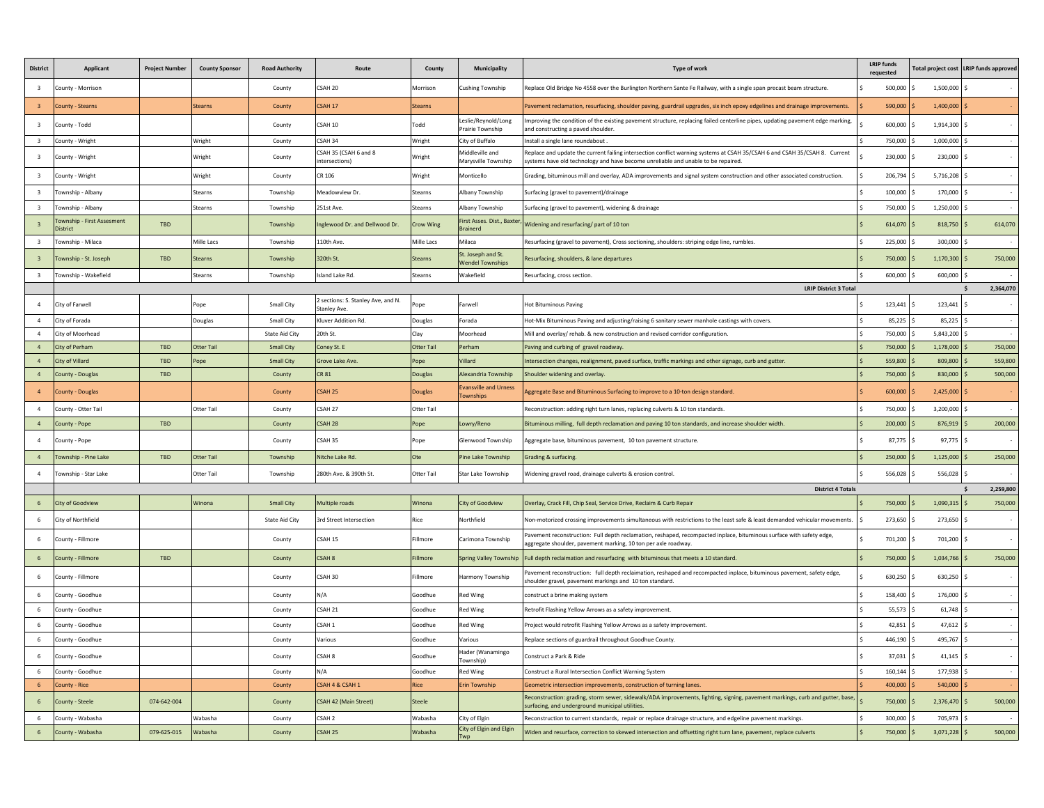| <b>District</b>         | Applicant                              | <b>Project Number</b> | <b>County Sponsor</b> | <b>Road Authority</b> | Route                                              | County           | <b>Municipality</b>                              | Type of work                                                                                                                                                                                                    | <b>LRIP</b> funds<br>requested |                | Total project cost   LRIP funds approved |
|-------------------------|----------------------------------------|-----------------------|-----------------------|-----------------------|----------------------------------------------------|------------------|--------------------------------------------------|-----------------------------------------------------------------------------------------------------------------------------------------------------------------------------------------------------------------|--------------------------------|----------------|------------------------------------------|
| 3                       | County - Morrison                      |                       |                       | County                | CSAH 20                                            | Morrison         | Cushing Township                                 | Replace Old Bridge No 4558 over the Burlington Northern Sante Fe Railway, with a single span precast beam structure.                                                                                            | 500,000                        | 1,500,000 \$   |                                          |
|                         | County - Stearns                       |                       | <b>Stearns</b>        | County                | CSAH 17                                            | <b>Stearns</b>   |                                                  | Pavement reclamation, resurfacing, shoulder paving, guardrail upgrades, six inch epoxy edgelines and drainage improvements.                                                                                     | 590,000                        | 1,400,000      |                                          |
| 3                       | County - Todd                          |                       |                       | County                | CSAH 10                                            | Todd             | Leslie/Reynold/Long<br>Prairie Township          | Improving the condition of the existing pavement structure, replacing failed centerline pipes, updating pavement edge marking,<br>and constructing a paved shoulder                                             | 600,000                        | 1,914,300      |                                          |
| $\overline{\mathbf{3}}$ | County - Wright                        |                       | Wright                | County                | CSAH 34                                            | Wright           | City of Buffalo                                  | Install a single lane roundabout                                                                                                                                                                                | 750,000 S                      | $1,000,000$ \$ |                                          |
| 3                       | County - Wright                        |                       | Wright                | County                | CSAH 35 (CSAH 6 and 8<br>intersections)            | <b>Nright</b>    | Middleville and<br>Marysville Township           | Replace and update the current failing intersection conflict warning systems at CSAH 35/CSAH 6 and CSAH 35/CSAH 8. Current<br>systems have old technology and have become unreliable and unable to be repaired. | 230,000                        | 230,000        |                                          |
| $\overline{\mathbf{3}}$ | County - Wright                        |                       | Wright                | County                | CR 106                                             | Wright           | Monticello                                       | Grading, bituminous mill and overlay, ADA improvements and signal system construction and other associated construction.                                                                                        | 206,794 \$                     | 5,716,208      |                                          |
| $\overline{\mathbf{3}}$ | Township - Albany                      |                       | Stearns               | Township              | Meadowview Dr.                                     | Stearns          | Albany Township                                  | Surfacing (gravel to pavement)/drainage                                                                                                                                                                         | 100,000                        | 170,000        |                                          |
| 3                       | Township - Albany                      |                       | Stearns               | Township              | 251st Ave.                                         | Stearns          | Albany Township                                  | Surfacing (gravel to pavement), widening & drainage                                                                                                                                                             | 750,000                        | 1,250,000      |                                          |
|                         | Fownship - First Assesment<br>District | TBD                   |                       | Township              | Inglewood Dr. and Dellwood Dr.                     | <b>Crow Wing</b> | First Asses. Dist., Baxter<br><b>Brainerd</b>    | Widening and resurfacing/ part of 10 ton                                                                                                                                                                        | 614,070                        | 818,750        | 614,070                                  |
| $\overline{3}$          | Township - Milaca                      |                       | Mille Lacs            | Township              | 110th Ave.                                         | Mille Lacs       | Milaca                                           | Resurfacing (gravel to pavement), Cross sectioning, shoulders: striping edge line, rumbles.                                                                                                                     | 225,000                        | 300,000        |                                          |
|                         | Township - St. Joseph                  | <b>TBD</b>            | <b>Stearns</b>        | Township              | 320th St.                                          | <b>Stearns</b>   | St. Joseph and St.<br><b>Wendel Townships</b>    | Resurfacing, shoulders, & lane departures                                                                                                                                                                       | 750,000                        | 1,170,300      | 750,000                                  |
| 3                       | Township - Wakefield                   |                       | Stearns               | Township              | Island Lake Rd.                                    | Stearns          | Wakefield                                        | Resurfacing, cross section.                                                                                                                                                                                     | 600,000                        | 600,000        |                                          |
|                         |                                        |                       |                       |                       |                                                    |                  |                                                  | <b>LRIP District 3 Total</b>                                                                                                                                                                                    |                                |                | 2,364,070<br>$\mathsf{s}$                |
| $\overline{a}$          | City of Farwell                        |                       | Pope                  | Small City            | 2 sections: S. Stanley Ave, and N.<br>Stanley Ave. | ope              | Farwell                                          | <b>Hot Bituminous Paving</b>                                                                                                                                                                                    | 123,441<br>.s                  | 123,441 \$     |                                          |
| 4                       | City of Forada                         |                       | Douglas               | Small City            | Kluver Addition Rd.                                | Douglas          | Forada                                           | Hot-Mix Bituminous Paving and adjusting/raising 6 sanitary sewer manhole castings with covers.                                                                                                                  | 85,225                         | 85,225         |                                          |
| $\mathbf{A}$            | City of Moorhead                       |                       |                       | <b>State Aid City</b> | 20th St.                                           | Clay             | Moorhead                                         | Mill and overlay/rehab. & new construction and revised corridor configuration                                                                                                                                   | 750,000                        | 5,843,200      |                                          |
| $\overline{a}$          | City of Perham                         | TBD                   | Otter Tail            | <b>Small City</b>     | Coney St. E                                        | Otter Tai        | Perham                                           | Paving and curbing of gravel roadway.                                                                                                                                                                           | 750,000                        | 1,178,000      | 750,000                                  |
| $\overline{a}$          | City of Villard                        | TBD                   | Pope                  | <b>Small City</b>     | <b>Grove Lake Ave</b>                              | Pope             | Villard                                          | Intersection changes, realignment, paved surface, traffic markings and other signage, curb and gutter.                                                                                                          | 559,800                        | 809,800        | 559,800                                  |
| $\overline{a}$          | County - Douglas                       | TBD                   |                       | County                | <b>CR 81</b>                                       | Douglas          | Alexandria Township                              | Shoulder widening and overlay                                                                                                                                                                                   | 750,000                        | 830,000        | 500,000                                  |
|                         | County - Douglas                       |                       |                       | County                | CSAH 25                                            | Douglas          | <b>Evansville and Urness</b><br><b>Townships</b> | Aggregate Base and Bituminous Surfacing to improve to a 10-ton design standard.                                                                                                                                 | 600,000                        | 2,425,000      |                                          |
| $\overline{a}$          | County - Otter Tail                    |                       | Otter Tail            | County                | CSAH 27                                            | Otter Tail       |                                                  | Reconstruction: adding right turn lanes, replacing culverts & 10 ton standards.                                                                                                                                 | 750,000                        | 3.200.000      |                                          |
| $\overline{4}$          | County - Pope                          | TBD                   |                       | County                | CSAH 28                                            | ope              | Lowry/Reno                                       | Bituminous milling, full depth reclamation and paving 10 ton standards, and increase shoulder width                                                                                                             | 200,000                        | 876,919        | 200,000                                  |
|                         | County - Pope                          |                       |                       | County                | CSAH 35                                            | ope              | Glenwood Township                                | Aggregate base, bituminous pavement, 10 ton pavement structure.                                                                                                                                                 | 87,775                         | 97,775         |                                          |
| $\overline{a}$          | Township - Pine Lake                   | <b>TBD</b>            | <b>Otter Tail</b>     | Township              | Nitche Lake Rd.                                    | Ote              | Pine Lake Township                               | Grading & surfacing.                                                                                                                                                                                            | 250,000                        | 1,125,000      | 250,000                                  |
| $\overline{a}$          | Township - Star Lake                   |                       | Otter Tail            | Township              | 280th Ave. & 390th St.                             | Otter Tail       | Star Lake Township                               | Widening gravel road, drainage culverts & erosion control.                                                                                                                                                      | 556,028                        | 556,028        |                                          |
|                         |                                        |                       |                       |                       |                                                    |                  |                                                  | <b>District 4 Totals</b>                                                                                                                                                                                        |                                |                | $\mathsf{s}$<br>2.259.800                |
| 6                       | <b>City of Goodview</b>                |                       | Winona                | <b>Small City</b>     | Multiple roads                                     | Winona           | <b>City of Goodview</b>                          | Overlay, Crack Fill, Chip Seal, Service Drive, Reclaim & Curb Repair                                                                                                                                            | 750,000                        | 1,090,315      | 750,000                                  |
|                         | City of Northfield                     |                       |                       | <b>State Aid City</b> | 3rd Street Intersection                            | Rice             | Northfield                                       | Non-motorized crossing improvements simultaneous with restrictions to the least safe & least demanded vehicular movements.                                                                                      | 273,650                        | 273,650        |                                          |
| 6.                      | County - Fillmore                      |                       |                       | County                | CSAH 15                                            | Fillmore         | Carimona Township                                | Pavement reconstruction: Full depth reclamation, reshaped, recompacted inplace, bituminous surface with safety edge,<br>aggregate shoulder, pavement marking, 10 ton per axle roadway.                          | 701,200                        | 701.200 S      |                                          |
|                         | County - Fillmore                      | <b>TBD</b>            |                       | County                | CSAH 8                                             | illmore          | Spring Valley Township                           | Full depth reclaimation and resurfacing with bituminous that meets a 10 standard.                                                                                                                               | 750,000                        | 1,034,766      | 750,000                                  |
| 6                       | County - Fillmore                      |                       |                       | County                | CSAH 30                                            | illmore          | Harmony Township                                 | avement reconstruction: full depth reclaimation, reshaped and recompacted inplace, bituminous pavement, safety edge,<br>shoulder gravel, pavement markings and 10 ton standard.                                 | 630,250                        | 630,250        |                                          |
| 6                       | County - Goodhue                       |                       |                       | County                | N/A                                                | Goodhue          | Red Wing                                         | construct a brine making system                                                                                                                                                                                 | 158,400                        | 176,000        |                                          |
| 6                       | County - Goodhue                       |                       |                       | County                | CSAH 21                                            | Goodhue          | Red Wing                                         | Retrofit Flashing Yellow Arrows as a safety improvement.                                                                                                                                                        | 55,573                         | 61,748         | . .                                      |
| 6                       | County - Goodhue                       |                       |                       | County                | CSAH 1                                             | Goodhue          | <b>Red Wing</b>                                  | Project would retrofit Flashing Yellow Arrows as a safety improvement.                                                                                                                                          | 42,851                         | 47,612         |                                          |
| 6                       | County - Goodhue                       |                       |                       | County                | Various                                            | Goodhue          | Various                                          | Replace sections of guardrail throughout Goodhue County                                                                                                                                                         | 446,190                        | 495,767        |                                          |
| 6                       | County - Goodhue                       |                       |                       | County                | CSAH <sub>8</sub>                                  | Goodhue          | Hader (Wanamingo<br>(Township                    | Construct a Park & Ride                                                                                                                                                                                         | 37,031                         | 41,145         |                                          |
| 6                       | County - Goodhue                       |                       |                       | County                | N/A                                                | Goodhue          | <b>Red Wing</b>                                  | Construct a Rural Intersection Conflict Warning System                                                                                                                                                          | 160.144                        | 177,938        |                                          |
| 6                       | County - Rice                          |                       |                       | County                | CSAH 4 & CSAH 1                                    | Rice             | <b>Erin Township</b>                             | Geometric intersection improvements, construction of turning lanes.                                                                                                                                             | 400,000                        | 540,000        |                                          |
| 6                       | County - Steele                        | 074-642-004           |                       | County                | CSAH 42 (Main Street)                              | Steele           |                                                  | Reconstruction: grading, storm sewer, sidewalk/ADA improvements, lighting, signing, pavement markings, curb and gutter, base<br>surfacing, and underground municipal utilities.                                 | 750,000                        | 2,376,470      | 500,000                                  |
| 6                       | County - Wabasha                       |                       | Wabasha               | County                | CSAH <sub>2</sub>                                  | Wabasha          | City of Elgin                                    | Reconstruction to current standards, repair or replace drainage structure, and edgeline pavement markings.                                                                                                      | 300,000                        | 705,973        |                                          |
| 6 <sup>1</sup>          | County - Wabasha                       | 079-625-015           | Wabasha               | County                | CSAH 25                                            | <b>Nabasha</b>   | City of Elgin and Elgin                          | Widen and resurface, correction to skewed intersection and offsetting right turn lane, pavement, replace culverts                                                                                               | 750,000                        | 3,071,228      | 500,000                                  |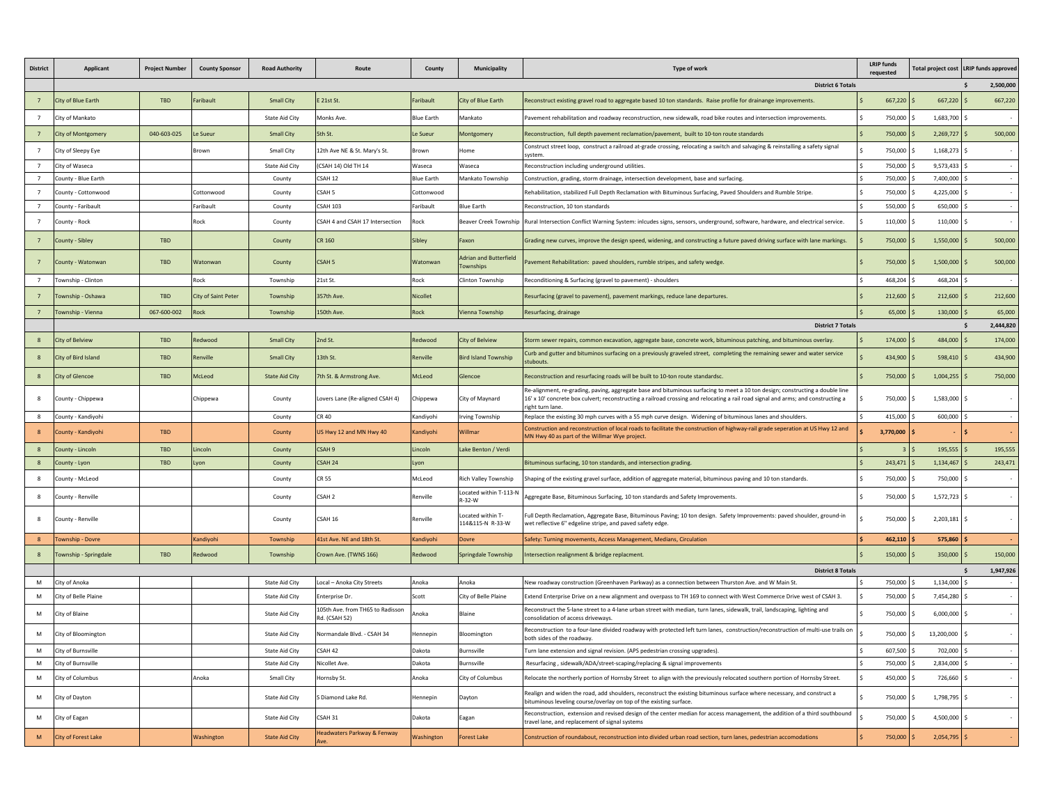| <b>District</b> | <b>Applicant</b>          | <b>Project Number</b>    | <b>County Sponsor</b> | <b>Road Authority</b> |                                                   | County            | Municipality                              | Type of work                                                                                                                                                                                                                                                                          | <b>LRIP funds</b><br>requested |                | Total project cost LRIP funds approved |
|-----------------|---------------------------|--------------------------|-----------------------|-----------------------|---------------------------------------------------|-------------------|-------------------------------------------|---------------------------------------------------------------------------------------------------------------------------------------------------------------------------------------------------------------------------------------------------------------------------------------|--------------------------------|----------------|----------------------------------------|
|                 |                           | <b>District 6 Totals</b> |                       |                       |                                                   |                   |                                           |                                                                                                                                                                                                                                                                                       |                                |                | $\mathsf{s}$<br>2.500.000              |
|                 | City of Blue Earth        | <b>TBD</b>               | Faribault             | <b>Small City</b>     | E 21st St.                                        | aribault          | City of Blue Earth                        | Reconstruct existing gravel road to aggregate based 10 ton standards. Raise profile for drainange improvements.                                                                                                                                                                       | 667,220                        | 667,220        | 667,220                                |
|                 | City of Mankato           |                          |                       | <b>State Aid City</b> | Monks Ave                                         | <b>Blue Earth</b> | Mankato                                   | Pavement rehabilitation and roadway reconstruction, new sidewalk, road bike routes and intersection improvements.                                                                                                                                                                     | 750,000                        | 1,683,700 \$   | $\sim$                                 |
| $7^{\circ}$     | <b>City of Montgomery</b> | 040-603-025              | l e Sueur             | <b>Small City</b>     | 5th St.                                           | Le Sueur          | Montgomery                                | Reconstruction, full depth pavement reclamation/pavement, built to 10-ton route standards                                                                                                                                                                                             | 750,000                        | $2.269.727$ S  | 500,000                                |
| $\overline{7}$  | City of Sleepy Eye        |                          | Brown                 | Small City            | 12th Ave NE & St. Mary's St.                      | Brown             | Home                                      | Construct street loop, construct a railroad at-grade crossing, relocating a switch and salvaging & reinstalling a safety signal<br>system                                                                                                                                             | 750,000                        | 1,168,273 \$   |                                        |
| $\overline{7}$  | City of Waseca            |                          |                       | State Aid City        | (CSAH 14) Old TH 14                               | Waseca            | Waseca                                    | Reconstruction including underground utilities.                                                                                                                                                                                                                                       | 750.000                        | 9.573.433 \$   |                                        |
| $\overline{7}$  | County - Blue Earth       |                          |                       | County                | CSAH 12                                           | <b>Blue Earth</b> | Mankato Township                          | Construction, grading, storm drainage, intersection development, base and surfacing.                                                                                                                                                                                                  | 750,000                        | 7,400,000      |                                        |
| $\overline{7}$  | County - Cottonwood       |                          | Cottonwood            | County                | CSAH <sub>5</sub>                                 | Cottonwood        |                                           | Rehabilitation, stabilized Full Depth Reclamation with Bituminous Surfacing, Paved Shoulders and Rumble Stripe.                                                                                                                                                                       | 750,000                        | 4,225,000      |                                        |
| $\overline{7}$  | County - Faribault        |                          | Faribault             | County                | <b>CSAH 103</b>                                   | Faribault         | <b>Blue Earth</b>                         | Reconstruction, 10 ton standards                                                                                                                                                                                                                                                      | 550,000                        | 650,000        |                                        |
| $\overline{7}$  | County - Rock             |                          | Rock                  | County                | CSAH 4 and CSAH 17 Intersection                   | Rock              | Beaver Creek Township                     | Rural Intersection Conflict Warning System: inlcudes signs, sensors, underground, software, hardware, and electrical service.                                                                                                                                                         | 110,000                        | 110,000 \$     |                                        |
| $7^{\circ}$     | County - Sibley           | TRD                      |                       | County                | CR 160                                            | Sibley            | Faxon                                     | Grading new curves, improve the design speed, widening, and constructing a future paved driving surface with lane markings.                                                                                                                                                           | 750,000                        | $1,550,000$ \$ | 500,000                                |
|                 | County - Watonwan         | <b>TBD</b>               | Watonwan              | County                | CSAH <sub>5</sub>                                 | Watonwan          | <b>Adrian and Butterfield</b><br>ownships | Pavement Rehabilitation: paved shoulders, rumble stripes, and safety wedge.                                                                                                                                                                                                           | 750,000                        | 1,500,000      | 500,000                                |
|                 | Township - Clinton        |                          | Rock                  | Township              | 21st St.                                          | Rock              | Clinton Township                          | Reconditioning & Surfacing (gravel to pavement) - shoulders                                                                                                                                                                                                                           | 468.204                        | 468.204        |                                        |
|                 | Township - Oshawa         | TBD                      | City of Saint Peter   | Township              | 357th Ave.                                        | Nicollet          |                                           | Resurfacing (gravel to pavement), pavement markings, reduce lane departures.                                                                                                                                                                                                          | 212,600                        | $212,600$ \$   | 212,600                                |
|                 | Township - Vienna         | 067-600-002              | Rock                  | Township              | 150th Ave.                                        | Rock              | Vienna Township                           | Resurfacing, drainage                                                                                                                                                                                                                                                                 | 65,000                         | $130,000$ \$   | 65,000                                 |
|                 |                           |                          |                       |                       |                                                   |                   |                                           | <b>District 7 Totals</b>                                                                                                                                                                                                                                                              |                                |                | 2.444.820<br>Ŝ.                        |
|                 | City of Belview           | TBD                      | Redwood               | <b>Small City</b>     | 2nd St.                                           | Redwood           | <b>City of Belview</b>                    | Storm sewer repairs, common excavation, aggregate base, concrete work, bituminous patching, and bituminous overlay.                                                                                                                                                                   | 174,000                        | 484,000        | 174,000                                |
|                 | City of Bird Island       | TBD                      | Renville              | <b>Small City</b>     | 13th St                                           | Renville          | <b>Bird Island Township</b>               | Curb and gutter and bituminos surfacing on a previously graveled street, completing the remaining sewer and water service<br>stubouts.                                                                                                                                                | 434,900                        | $598.410$ \$   | 434,900                                |
|                 | <b>City of Glencoe</b>    | TBD                      | McLeod                | <b>State Aid City</b> | 7th St. & Armstrong Ave.                          | McLeod            | ilencoe                                   | Reconstruction and resurfacing roads will be built to 10-ton route standardsc.                                                                                                                                                                                                        | 750,000                        | $1,004,255$ \$ | 750,000                                |
|                 | County - Chippewa         |                          | Chippewa              | County                | Lovers Lane (Re-aligned CSAH 4)                   | Chippewa          | City of Maynard                           | Re-alignment, re-grading, paving, aggregate base and bituminous surfacing to meet a 10 ton design; constructing a double line<br>16' x 10' concrete box culvert; reconstructing a railroad crossing and relocating a rail road signal and arms; and constructing a<br>right turn lane | 750,000                        | $1,583,000$ \$ |                                        |
| $\mathbf{g}$    | County - Kandivohi        |                          |                       | County                | CR 40                                             | Kandivohi         | Irving Township                           | Replace the existing 30 mph curves with a 55 mph curve design. Widening of bituminous lanes and shoulders.                                                                                                                                                                            | 415,000                        | 600,000 \$     |                                        |
|                 | County - Kandiyohi        | <b>TBD</b>               |                       | County                | US Hwy 12 and MN Hwy 40                           | Kandiyohi         | <b>Nillmar</b>                            | Construction and reconstruction of local roads to facilitate the construction of highway-rail grade seperation at US Hwy 12 and<br>MN Hwy 40 as part of the Willmar Wye project.                                                                                                      | 3,770,000                      |                |                                        |
| $\mathbf{R}$    | County - Lincoln          | TBD                      | Lincoln               | County                | CSAH 9                                            | Lincoln           | Lake Benton / Verdi                       |                                                                                                                                                                                                                                                                                       | $\overline{3}$                 | $195.555$ S    | 195.555                                |
| 8               | County - Lyon             | <b>TBD</b>               | Lyon                  | County                | CSAH 24                                           | Lyon              |                                           | Bituminous surfacing, 10 ton standards, and intersection grading.                                                                                                                                                                                                                     | 243,471                        | $1,134,467$ \$ | 243,471                                |
|                 | County - McLeod           |                          |                       | County                | CR 55                                             | McLeod            | Rich Valley Township                      | Shaping of the existing gravel surface, addition of aggregate material, bituminous paving and 10 ton standards.                                                                                                                                                                       | 750,000                        | 750,000        |                                        |
| $\mathbf{R}$    | County - Renville         |                          |                       | County                | CSAH <sub>2</sub>                                 | Renville          | Located within T-113-N<br>R-32-W          | Aggregate Base, Bituminous Surfacing, 10 ton standards and Safety Improvements.                                                                                                                                                                                                       | 750,000                        | 1,572,723 \$   |                                        |
| $\mathbf{R}$    | County - Renville         |                          |                       | County                | CSAH 16                                           | Renville          | ocated within T-<br>114&115-N R-33-W      | ull Depth Reclamation, Aggregate Base, Bituminous Paving; 10 ton design. Safety Improvements: paved shoulder, ground-in<br>wet reflective 6" edgeline stripe, and paved safety edge.                                                                                                  | 750,000                        | $2,203,181$ \$ |                                        |
| $\mathbf{R}$    | Township - Dovre          |                          | Kandivohi             | Township              | 41st Ave. NE and 18th St.                         | Kandivohi         | <b>Dovre</b>                              | Safety: Turning movements, Access Management, Medians, Circulation                                                                                                                                                                                                                    | 462.110                        | 575,860        |                                        |
|                 | Township - Springdale     | <b>TBD</b>               | Redwood               | Township              | Crown Ave. (TWNS 166)                             | Redwood           | Springdale Township                       | Intersection realignment & bridge replacment.                                                                                                                                                                                                                                         | 150,000                        | $350,000$ \$   | 150,000                                |
|                 |                           |                          |                       |                       |                                                   |                   |                                           | <b>District 8 Totals</b>                                                                                                                                                                                                                                                              |                                |                | 1,947,926<br>$\mathsf{s}$              |
| M               | City of Anoka             |                          |                       | State Aid City        | Local - Anoka City Streets                        | Anoka             | Anoka                                     | New roadway construction (Greenhaven Parkway) as a connection between Thurston Ave. and W Main St.                                                                                                                                                                                    | 750,000 S                      | 1,134,000 \$   |                                        |
|                 | City of Belle Plaine      |                          |                       | <b>State Aid City</b> | Enterprise Dr.                                    | Scott             | City of Belle Plaine                      | Extend Enterprise Drive on a new alignment and overpass to TH 169 to connect with West Commerce Drive west of CSAH 3.                                                                                                                                                                 | 750,000                        | 7,454,280      |                                        |
| M               | City of Blaine            |                          |                       | State Aid City        | 105th Ave. from TH65 to Radisson<br>Rd. (CSAH 52) | Anoka             | Blaine                                    | Reconstruct the 5-lane street to a 4-lane urban street with median, turn lanes, sidewalk, trail, landscaping, lighting and<br>consolidation of access driveways.                                                                                                                      | 750,000                        | $6,000,000$ \$ |                                        |
| M               | City of Bloomington       |                          |                       | <b>State Aid City</b> | Normandale Blvd. - CSAH 34                        | Hennepin          | Bloomington                               | Reconstruction to a four-lane divided roadway with protected left turn lanes, construction/reconstruction of multi-use trails on<br>both sides of the roadway.                                                                                                                        | 750,000 \$                     | 13,200,000 \$  |                                        |
| M               | City of Burnsville        |                          |                       | <b>State Aid City</b> | CSAH 42                                           | Dakota            | Burnsville                                | Turn lane extension and signal revision. (APS pedestrian crossing upgrades).                                                                                                                                                                                                          | 607,500                        | 702,000 \$     |                                        |
| M               | City of Burnsville        |                          |                       | State Aid City        | Nicollet Ave.                                     | Dakota            | Burnsville                                | Resurfacing, sidewalk/ADA/street-scaping/replacing & signal improvements                                                                                                                                                                                                              | 750,000                        | 2,834,000      |                                        |
| M               | City of Columbus          |                          | Anoka                 | Small City            | Hornsby St.                                       | Anoka             | City of Columbus                          | Relocate the northerly portion of Hornsby Street to align with the previously relocated southern portion of Hornsby Street.                                                                                                                                                           | 450,000                        | 726,660 \$     |                                        |
| M               | City of Dayton            |                          |                       | <b>State Aid City</b> | S Diamond Lake Rd.                                | Hennepin          | Daytor                                    | Realign and widen the road, add shoulders, reconstruct the existing bituminous surface where necessary, and construct a<br>bituminous leveling course/overlay on top of the existing surface.                                                                                         | 750,000                        | 1,798,795 \$   |                                        |
| M               | City of Eagan             |                          |                       | State Aid City        | CSAH 31                                           | Dakota            | Eagan                                     | Reconstruction, extension and revised design of the center median for access management, the addition of a third southbound<br>travel lane, and replacement of signal systems                                                                                                         | 750,000                        | 4,500,000 \$   |                                        |
| M               | City of Forest Lake       |                          | Washington            | <b>State Aid City</b> | Headwaters Parkway & Fenway                       | Washington        | <b>Forest Lake</b>                        | Construction of roundabout, reconstruction into divided urban road section, turn lanes, pedestrian accomodations                                                                                                                                                                      | 750,000                        | $2,054,795$ \$ |                                        |